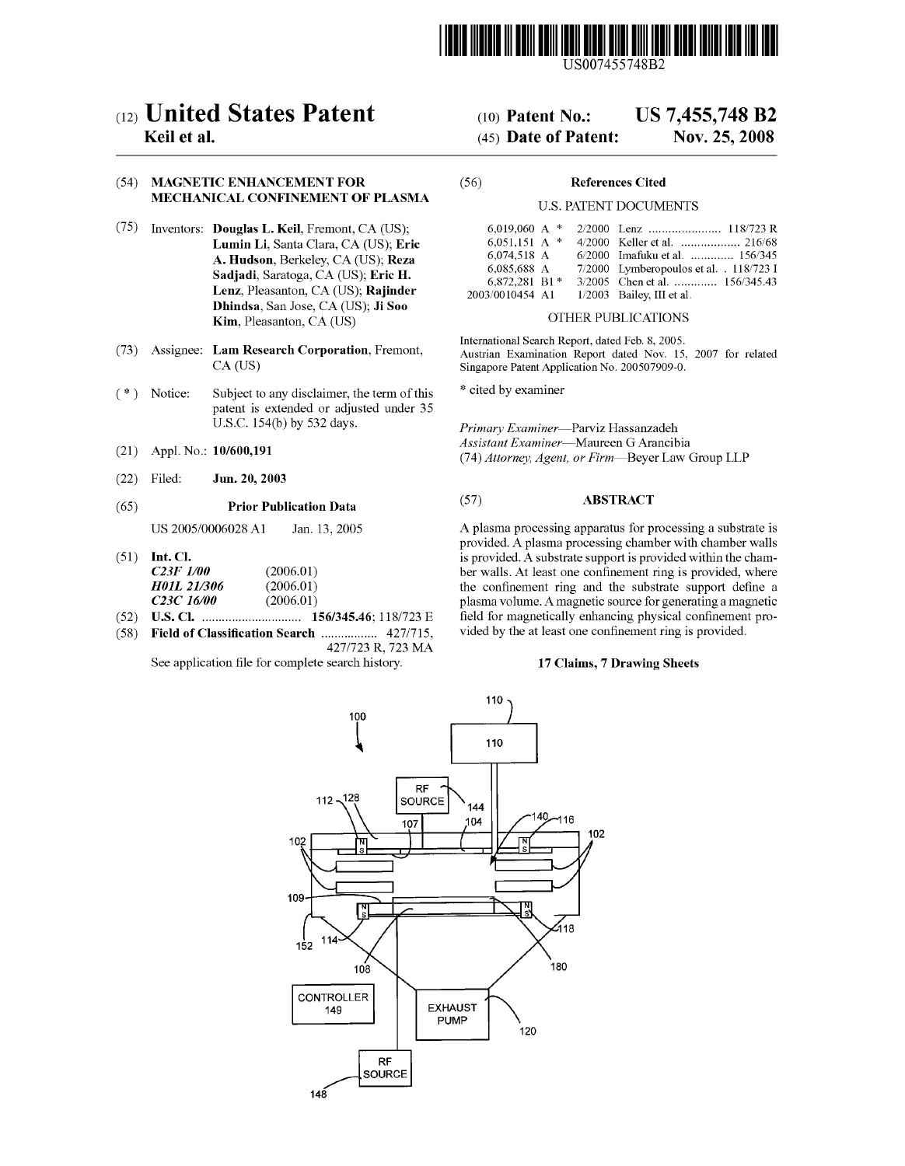

US007455748B2

# (12) United States Patent

# Keil et a].

## (54) MAGNETIC ENHANCEMENT FOR MECHANICAL CONFINEMENT OF PLASMA

- $(75)$  Inventors: **Douglas L. Keil**, Fremont, CA (US); Lumin Li, Santa Clara, CA (US); Eric A. Hudson, Berkeley, CA (US); Reza Sadjadi, Saratoga, CA (US); Eric H. Lenz, Pleasanton, CA (US); Rajinder Dhindsa, San Jose, CA (US); Ji Soo Kim, Pleasanton, CA (US)
- (73) Assignee: Lam Research Corporation, Fremont, CA (US)
- (\*) Notice: Subject to any disclaimer, the term of this patent is extended or adjusted under 35 U.S.C. 154(b) by 532 days.
- (21) Appl. N0.: 10/600,191
- (22) Filed: Jun. 20, 2003

#### (65) Prior Publication Data

US 2005/0006028 A1 Jan. 13, 2005

- $(51)$  Int. Cl. C23F 1/00 H01L 21/306  $C23C$  16/00 (2006.01) (2006.01) (2006.01)
- (52) U.S. Cl. ............................ .. 156/345.46; 118/723 E
- $(58)$  Field of Classification Search .....................  $4277715$ , 427/723 R, 723 MA

See application file for complete search history.

#### US 7,455,748 B2 (10) Patent N0.:

#### Nov. 25, 2008 (45) Date of Patent:

#### (56) References Cited

#### U.S. PATENT DOCUMENTS

| 6.019.060 A $*$ |                                         |
|-----------------|-----------------------------------------|
| 6.051.151 A $*$ |                                         |
| 6.074.518 A     | 6/2000 Imafuku et al.  156/345          |
| 6.085.688 A     | 7/2000 Lymberopoulos et al. . 118/723 I |
| 6,872,281 B1*   | 3/2005 Chen et al.  156/345.43          |
| 2003/0010454 A1 | $1/2003$ Bailey, III et al.             |

### OTHER PUBLICATIONS

International Search Report, dated Feb. 8, 2005. Austrian Examination Report dated Nov. 15, 2007 for related Singapore Patent Application No. 200507909-0.

\* cited by examiner

Primary Examiner-Parviz Hassanzadeh Assistant Examiner-Maureen G Arancibia (74) Attorney, Agent, or Firm-Beyer Law Group LLP

### (57) ABSTRACT

A plasma processing apparatus for processing a substrate is provided. A plasma processing chamber With chamber Walls is provided. A substrate support is provided Within the cham ber walls. At least one confinement ring is provided, where the confinement ring and the substrate support define a plasma volume. A magnetic source for generating a magnetic field for magnetically enhancing physical confinement provided by the at least one confinement ring is provided.

### 17 Claims, 7 Drawing Sheets

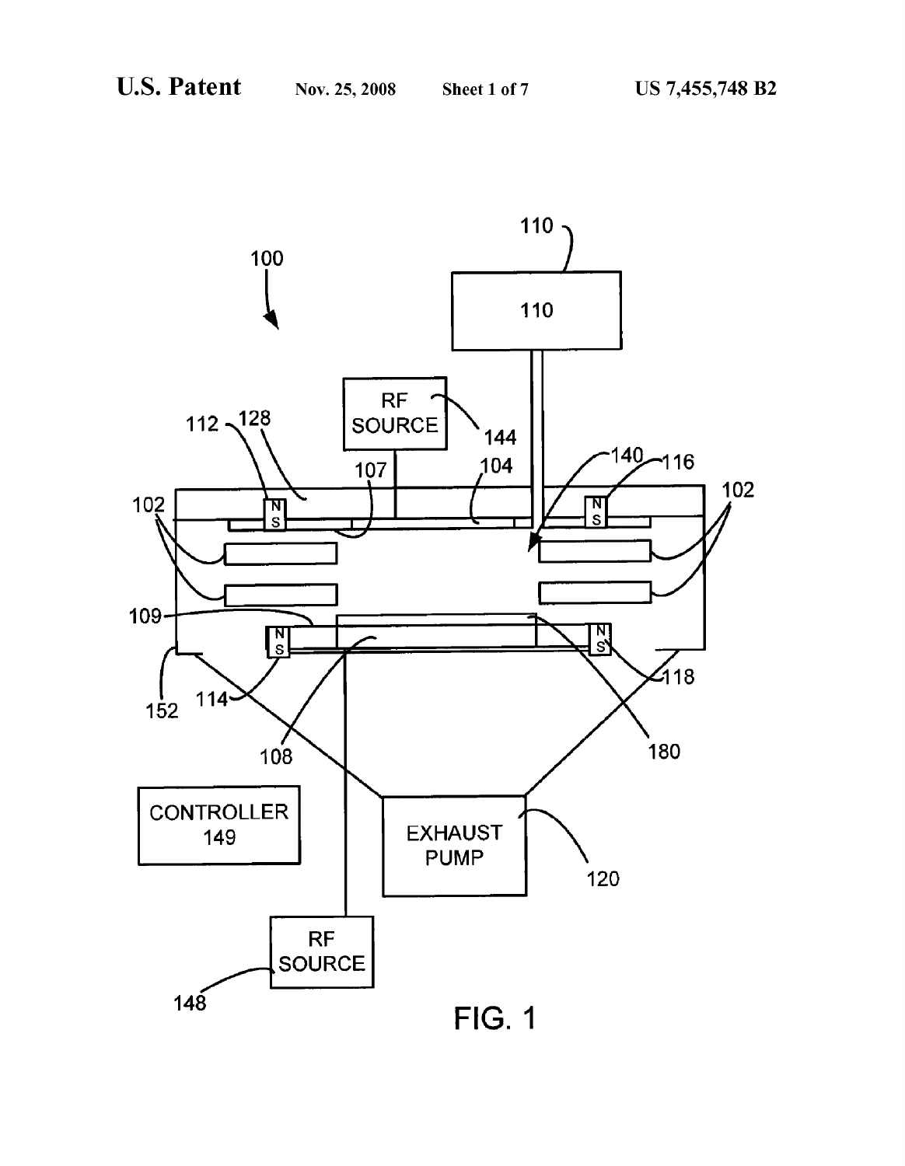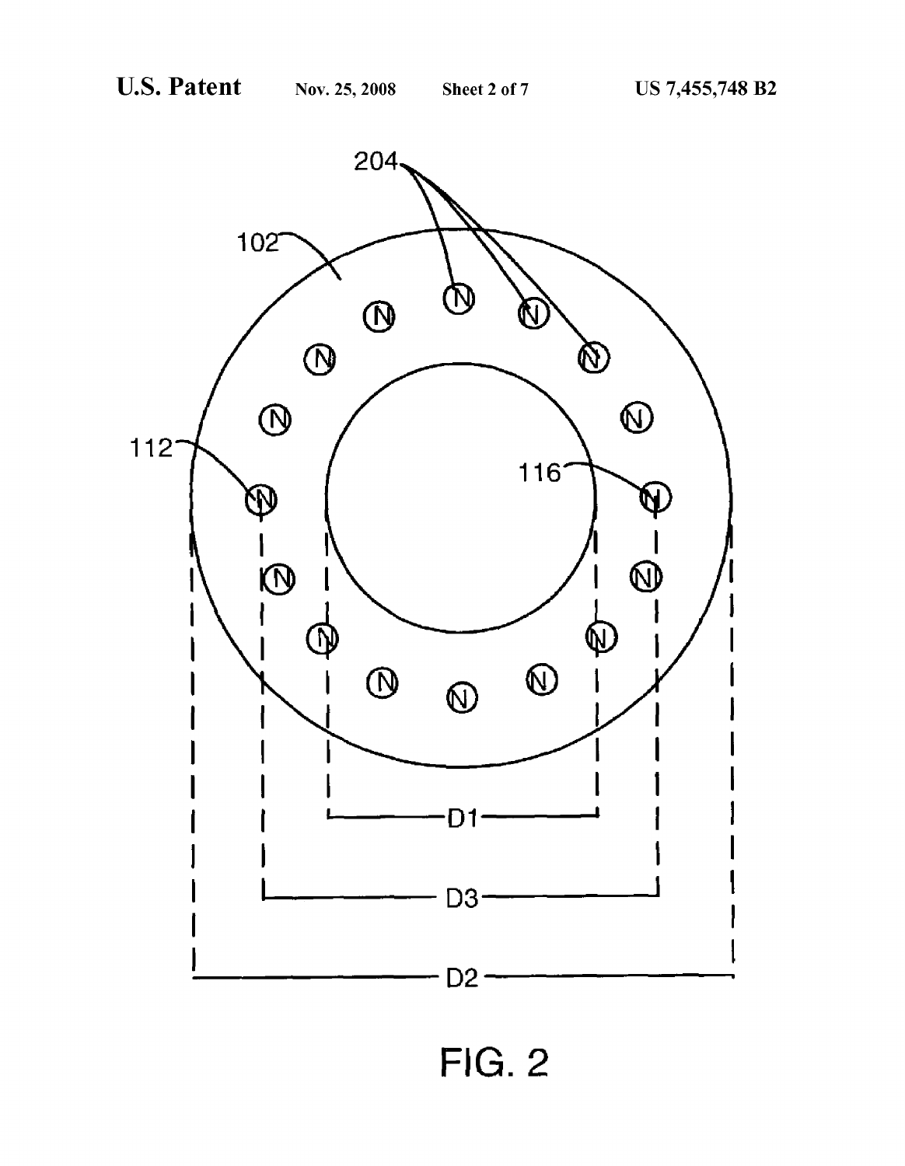

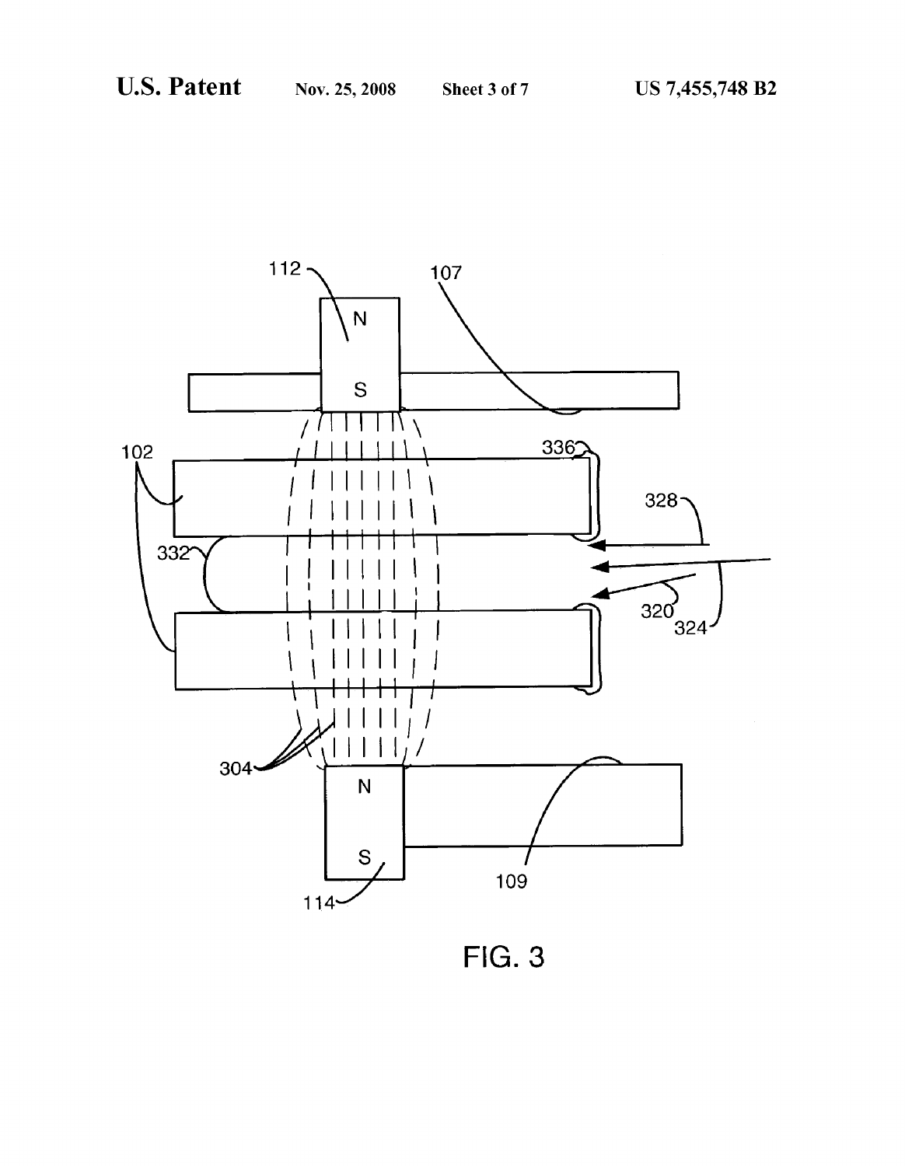

**FIG. 3**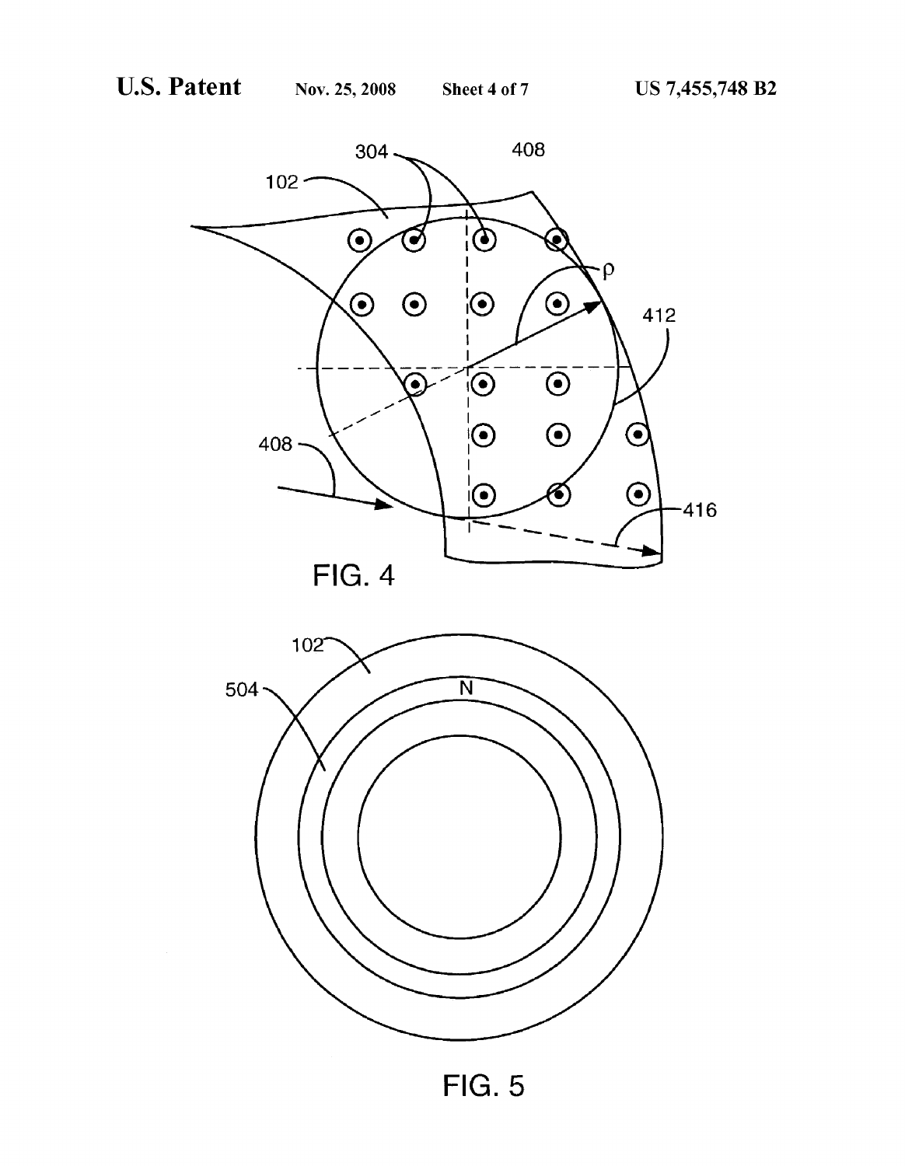



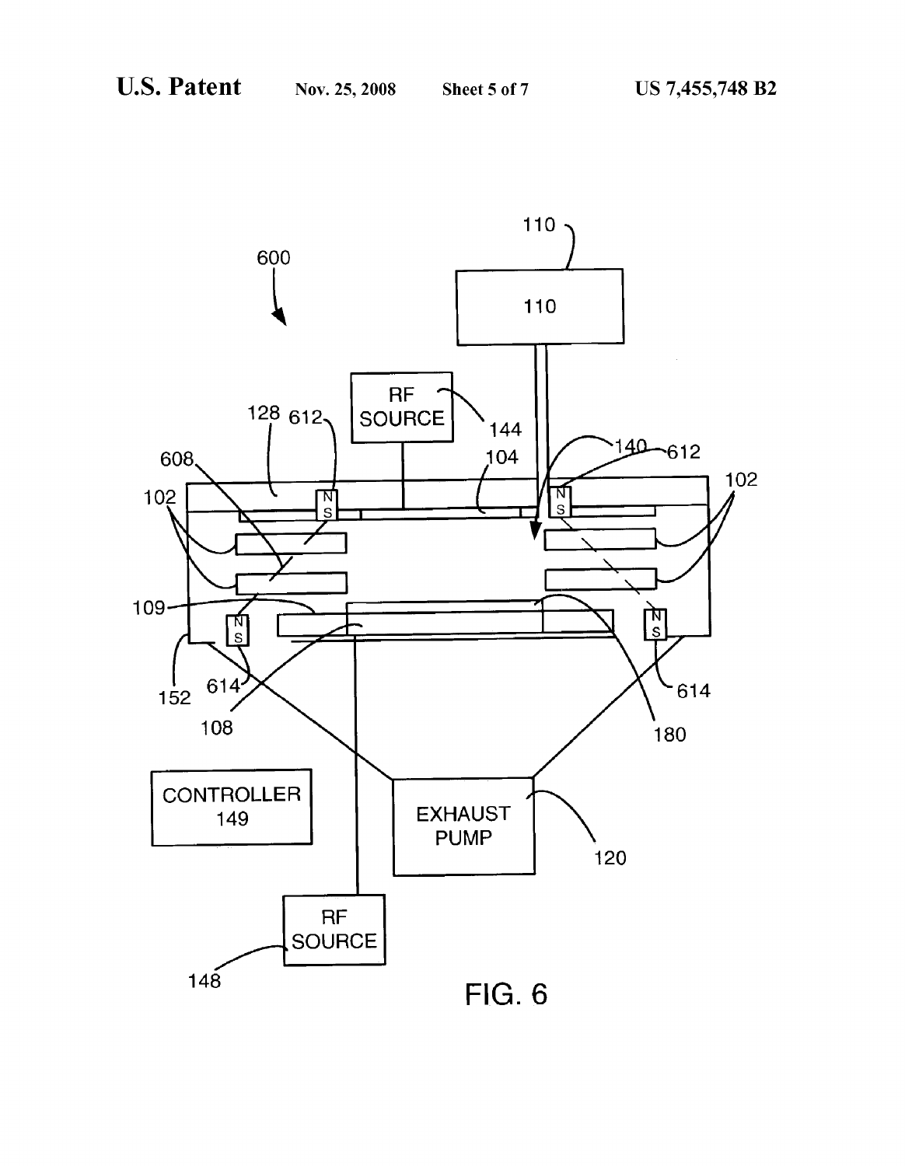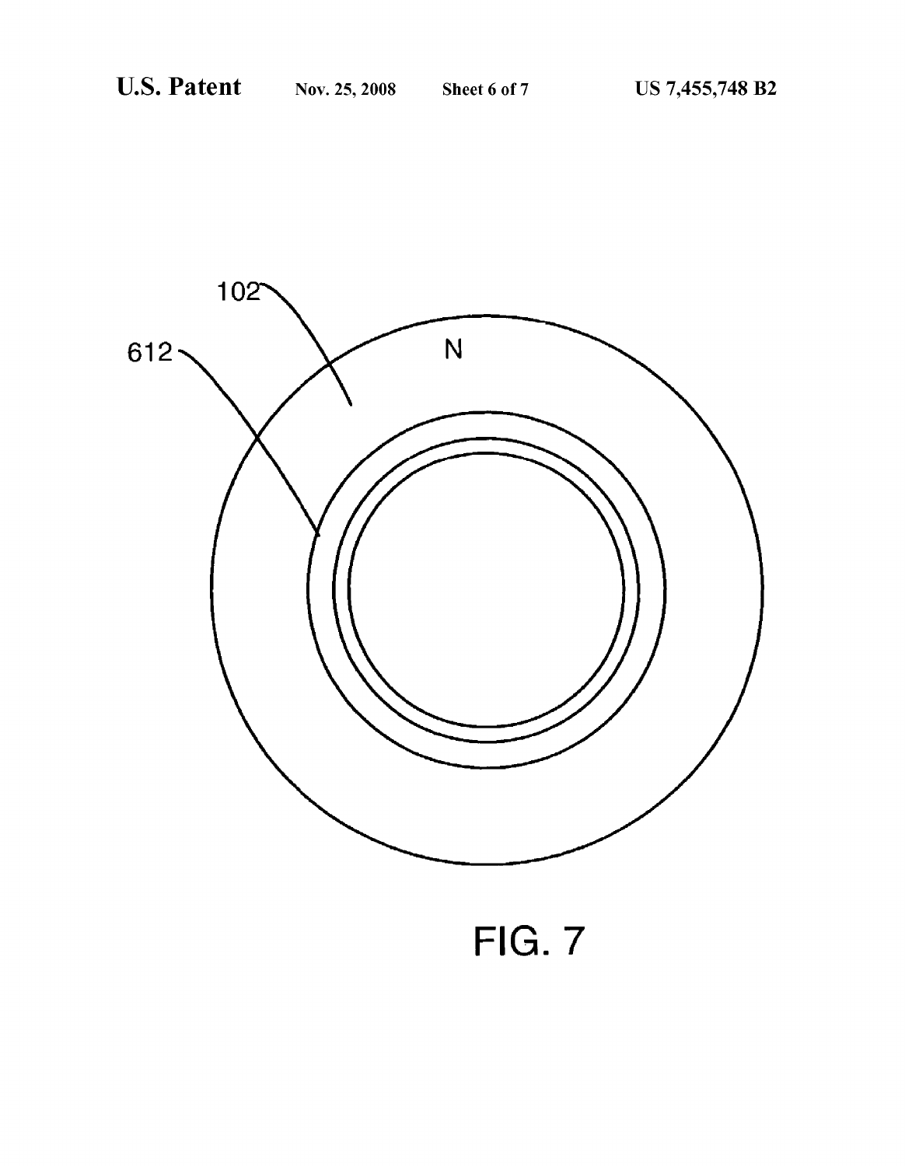

FIG. 7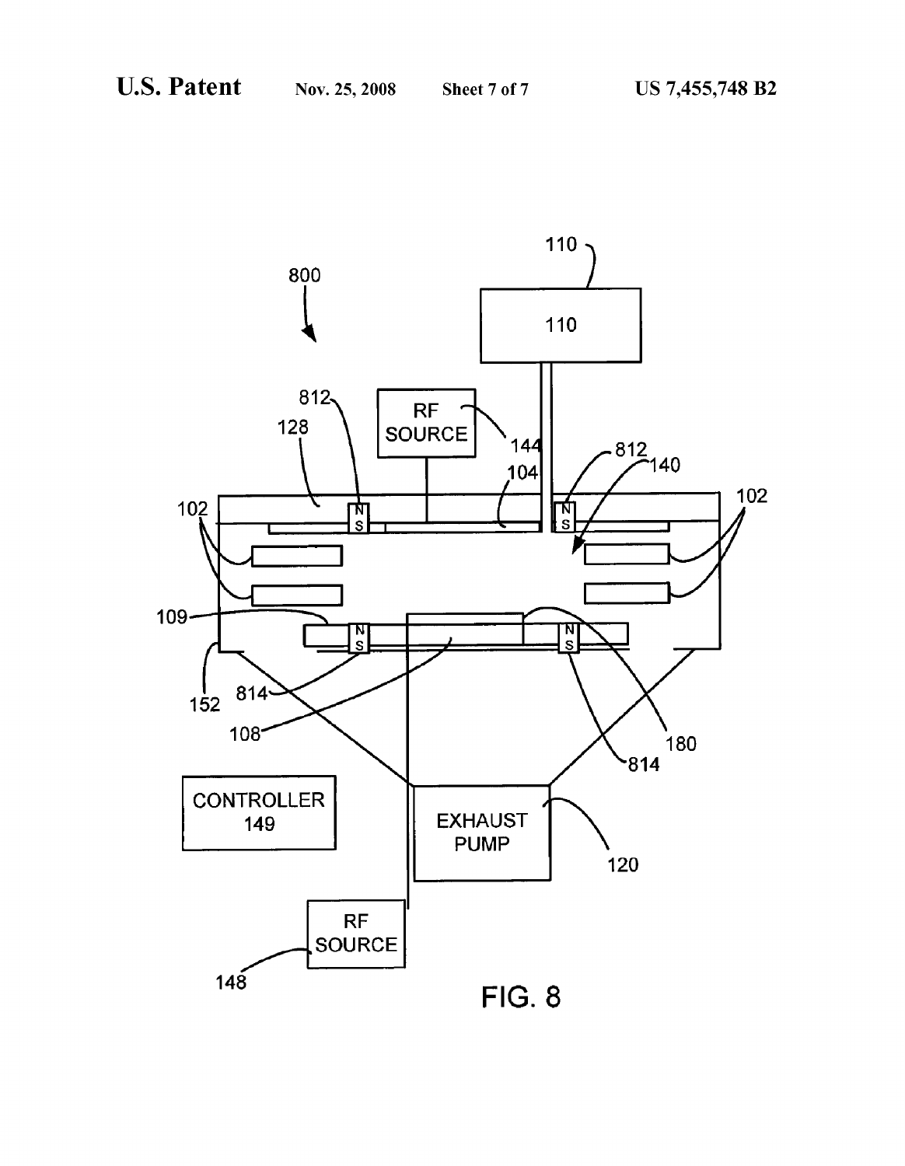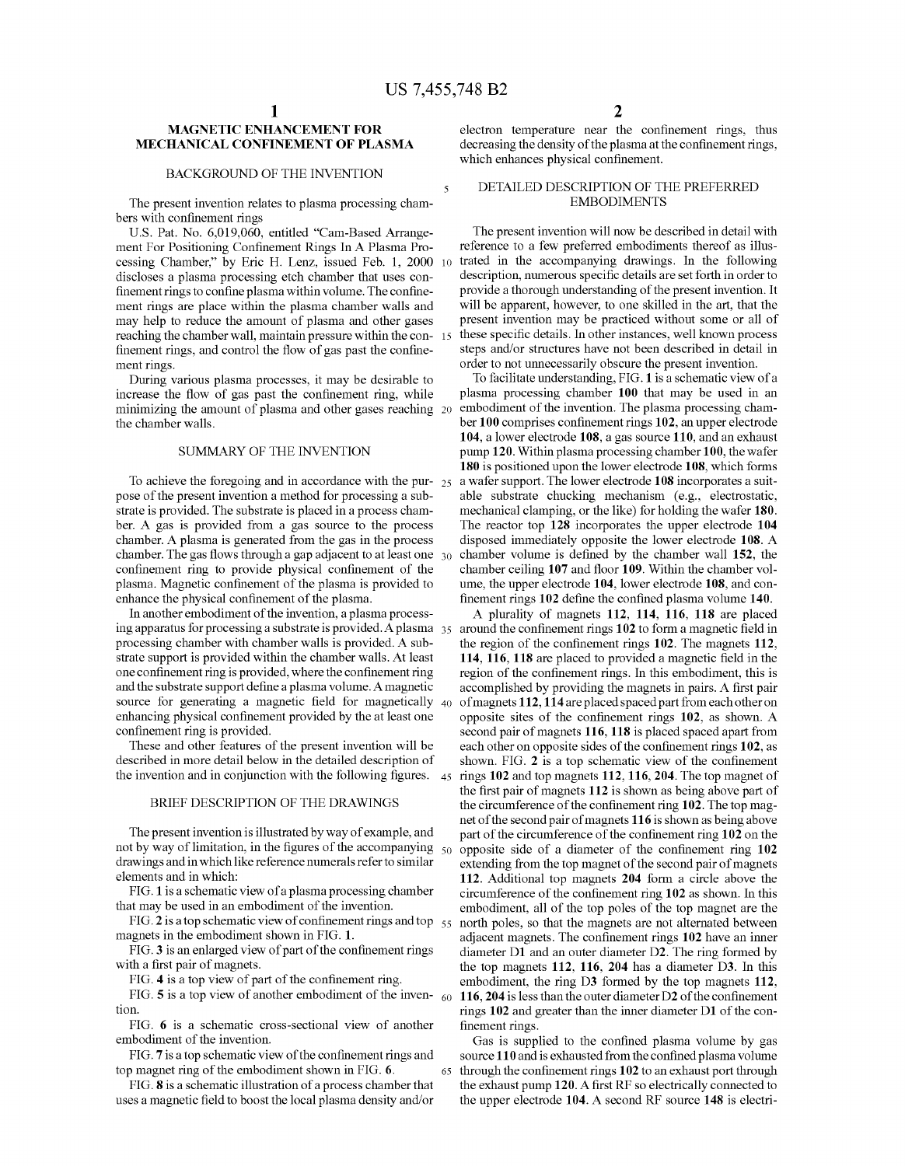#### MAGNETIC ENHANCEMENT FOR MECHANICAL CONFINEMENT OF PLASMA

#### BACKGROUND OF THE INVENTION

The present invention relates to plasma processing cham bers with confinement rings

US. Pat. No. 6,019,060, entitled "Cam-Based Arrange ment For Positioning Confinement Rings In A Plasma Processing Chamber," by Eric H. Lenz, issued Feb. 1, 2000 10 discloses a plasma processing etch chamber that uses con finement rings to confine plasma within volume. The confinement rings are place Within the plasma chamber Walls and may help to reduce the amount of plasma and other gases reaching the chamber wall, maintain pressure within the con-15 finement rings, and control the flow of gas past the confinement rings.

During various plasma processes, it may be desirable to increase the flow of gas past the confinement ring, while minimizing the amount of plasma and other gases reaching 20 the chamber Walls.

#### SUMMARY OF THE INVENTION

To achieve the foregoing and in accordance with the pur-  $_{25}$ pose of the present invention a method for processing a sub strate is provided. The substrate is placed in a process cham ber. A gas is provided from a gas source to the process chamber. A plasma is generated from the gas in the process chamber. The gas flows through a gap adjacent to at least one  $\,$  30  $\,$ confinement ring to provide physical confinement of the plasma. Magnetic confinement of the plasma is provided to enhance the physical confinement of the plasma.

In another embodiment of the invention, a plasma process ing apparatus for processing a substrate is provided. A plasma  $_{35}$ processing chamber With chamber Walls is provided. A sub strate support is provided Within the chamber Walls. At least one confinement ring is provided, where the confinement ring and the substrate support define a plasma volume. A magnetic source for generating a magnetic field for magnetically  $_{40}$ enhancing physical confinement provided by the at least one confinement ring is provided.

These and other features of the present invention Will be described in more detail below in the detailed description of the invention and in conjunction with the following figures.  $\,$  45  $\,$ 

#### BRIEF DESCRIPTION OF THE DRAWINGS

The present invention is illustrated by Way of example, and not by way of limitation, in the figures of the accompanying  $_{50}$ draWings and in Which like reference numerals refer to similar elements and in Which:

FIG. 1 is a schematic vieW of a plasma processing chamber that may be used in an embodiment of the invention.

FIG. 2 is a top schematic view of confinement rings and top  $\frac{55}{15}$ magnets in the embodiment shown in FIG. 1.

FIG. 3 is an enlarged view of part of the confinement rings with a first pair of magnets.

FIG. 4 is a top view of part of the confinement ring.

FIG. 5 is a top view of another embodiment of the inven-  $_{60}$ tion.

FIG. 6 is a schematic cross-sectional vieW of another embodiment of the invention.

FIG. 7 is a top schematic view of the confinement rings and top magnet ring of the embodiment shown in FIG. 6.

FIG. 8 is a schematic illustration of a process chamber that uses a magnetic field to boost the local plasma density and/or electron temperature near the confinement rings, thus decreasing the density of the plasma at the confinement rings, which enhances physical confinement.

### DETAILED DESCRIPTION OF THE PREFERRED EMBODIMENTS

The present invention will now be described in detail with reference to a feW preferred embodiments thereof as illus trated in the accompanying drawings. In the following description, numerous specific details are set forth in order to provide a thorough understanding of the present invention. It will be apparent, however, to one skilled in the art, that the present invention may be practiced Without some or all of these specific details. In other instances, well known process steps and/or structures have not been described in detail in order to not unnecessarily obscure the present invention.

To facilitate understanding, FIG. 1 is a schematic vieW of a plasma processing chamber 100 that may be used in an embodiment of the invention. The plasma processing cham ber 100 comprises confinement rings 102, an upper electrode 104, a loWer electrode 108, a gas source 110, and an exhaust pump 120. Within plasma processing chamber 100, the Wafer 180 is positioned upon the lower electrode 108, which forms a Wafer support. The loWer electrode 108 incorporates a suit able substrate chucking mechanism (e.g., electrostatic, mechanical clamping, or the like) for holding the Wafer 180. The reactor top 128 incorporates the upper electrode 104 disposed immediately opposite the loWer electrode 108. A chamber volume is defined by the chamber wall 152, the chamber ceiling 107 and floor 109. Within the chamber volume, the upper electrode 104, loWer electrode 108, and con finement rings  $102$  define the confined plasma volume  $140$ .

A plurality of magnets 112, 114, 116, 118 are placed around the confinement rings 102 to form a magnetic field in the region of the confinement rings  $102$ . The magnets  $112$ , 114, 116, 118 are placed to provided a magnetic field in the region of the confinement rings. In this embodiment, this is accomplished by providing the magnets in pairs. A first pair of magnets 112, 114 are placed spaced part from each other on opposite sites of the confinement rings  $102$ , as shown. A second pair of magnets 116, 118 is placed spaced apart from each other on opposite sides of the confinement rings 102, as shown. FIG.  $2$  is a top schematic view of the confinement rings 102 and top magnets 112, 116, 204. The top magnet of the first pair of magnets  $112$  is shown as being above part of the circumference of the confinement ring  $102$ . The top magnet of the second pair of magnets 116 is shoWn as being above part of the circumference of the confinement ring 102 on the opposite side of a diameter of the confinement ring 102 extending from the top magnet of the second pair of magnets 112. Additional top magnets 204 form a circle above the circumference of the confinement ring  $102$  as shown. In this embodiment, all of the top poles of the top magnet are the north poles, so that the magnets are not alternated between adjacent magnets. The confinement rings 102 have an inner diameter D1 and an outer diameter D2. The ring formed by the top magnets 112, 116, 204 has a diameter D3. In this embodiment, the ring D3 formed by the top magnets 112, 116, 204 is less than the outer diameter  $D2$  of the confinement rings 102 and greater than the inner diameter D1 of the con finement rings.

Gas is supplied to the confined plasma volume by gas source 110 and is exhausted from the confined plasma volume through the confinement rings 102 to an exhaust port through the exhaust pump 120. A first RF so electrically connected to the upper electrode 104. A second RF source 148 is electri

65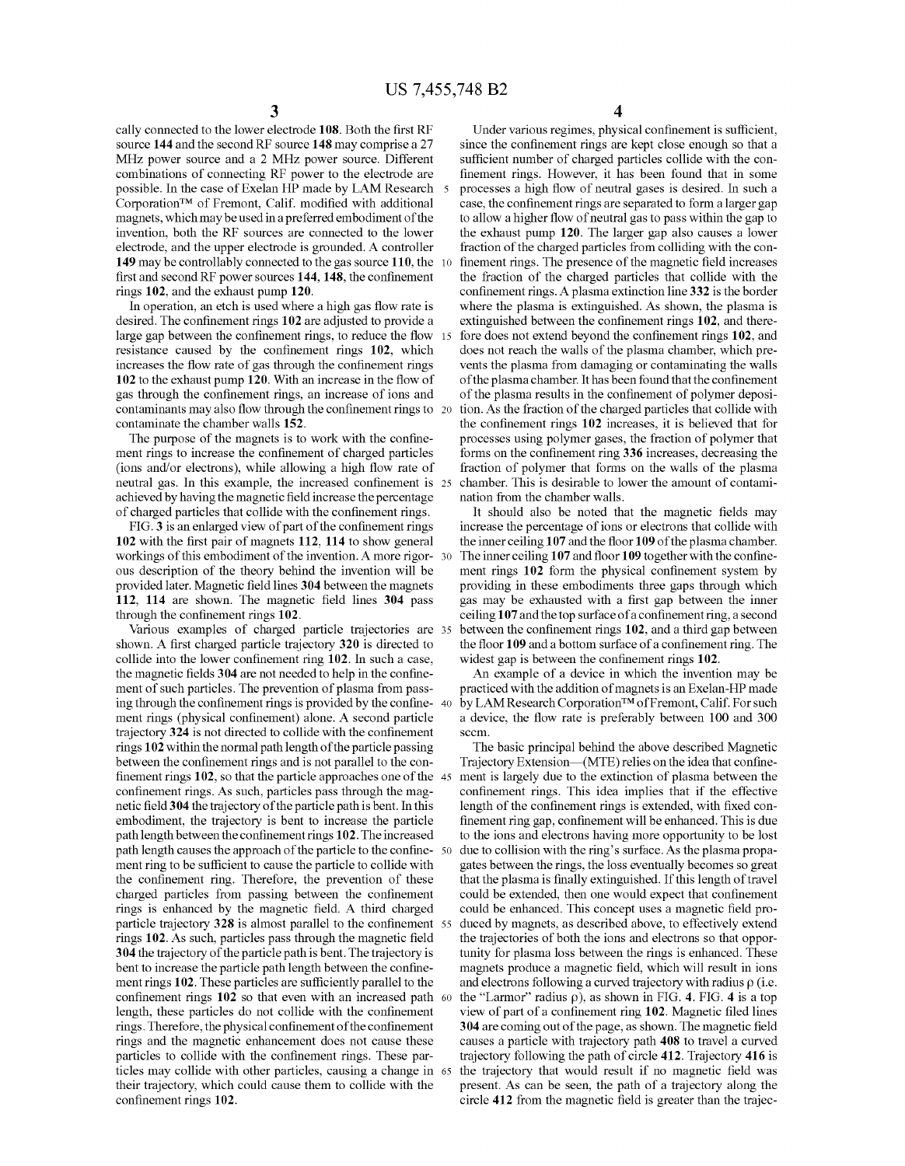cally connected to the lower electrode 108. Both the first RF source 144 and the second RF source 148 may comprise a 27 MHZ poWer source and a 2 MHZ poWer source. Different combinations of connecting RF power to the electrode are possible. In the case of Exelan HP made by LAM Research Corporation<sup>TM</sup> of Fremont, Calif. modified with additional magnets, Which may be used in a preferred embodiment of the invention, both the RF sources are connected to the lower electrode, and the upper electrode is grounded. A controller 149 may be controllably connected to the gas source 110, the 10 first and second RF power sources  $144$ ,  $148$ , the confinement rings 102, and the exhaust pump 120.

In operation, an etch is used where a high gas flow rate is desired. The confinement rings 102 are adjusted to provide a large gap between the confinement rings, to reduce the flow  $15$ resistance caused by the confinement rings 102, which increases the flow rate of gas through the confinement rings 102 to the exhaust pump 120. With an increase in the How of gas through the confinement rings, an increase of ions and contaminants may also flow through the confinement rings to 20 contaminate the chamber Walls 152.

The purpose of the magnets is to work with the confinement rings to increase the confinement of charged particles (ions and/or electrons), while allowing a high flow rate of neutral gas. In this example, the increased confinement is 25 achieved by having the magnetic field increase the percentage of charged particles that collide with the confinement rings.

FIG. 3 is an enlarged view of part of the confinement rings 102 with the first pair of magnets  $112$ ,  $114$  to show general workings of this embodiment of the invention. A more rigor- 30 ous description of the theory behind the invention Will be provided later. Magnetic field lines 304 between the magnets 112, 114 are shown. The magnetic field lines  $304$  pass through the confinement rings  $102$ .

Various examples of charged particle trajectories are 35 shown. A first charged particle trajectory 320 is directed to collide into the lower confinement ring 102. In such a case, the magnetic fields 304 are not needed to help in the confinement of such particles. The prevention of plasma from pass ing through the confinement rings is provided by the confine- 40 ment rings (physical confinement) alone. A second particle trajectory 324 is not directed to collide with the confinement rings 102 within the normal path length of the particle passing between the confinement rings and is not parallel to the confinement rings  $102$ , so that the particle approaches one of the 45 confinement rings. As such, particles pass through the magnetic field 304 the trajectory of the particle path is bent. In this embodiment, the trajectory is bent to increase the particle path length between the confinement rings 102. The increased path length causes the approach of the particle to the confine- 50 ment ring to be sufficient to cause the particle to collide with the confinement ring. Therefore, the prevention of these charged particles from passing between the confinement rings is enhanced by the magnetic field. A third charged particle trajectory  $328$  is almost parallel to the confinement  $55$ rings 102. As such, particles pass through the magnetic field 304 the trajectory of the particle path is bent. The trajectory is bent to increase the particle path length between the confinement rings 102. These particles are sufficiently parallel to the confinement rings  $102$  so that even with an increased path  $60$ length, these particles do not collide with the confinement rings. Therefore, the physical confinement of the confinement rings and the magnetic enhancement does not cause these particles to collide with the confinement rings. These particles may collide With other particles, causing a change in 65 their trajectory, Which could cause them to collide With the confinement rings 102.

4

Under various regimes, physical confinement is sufficient, since the confinement rings are kept close enough so that a sufficient number of charged particles collide with the confinement rings. However, it has been found that in some processes a high How of neutral gases is desired. In such a case, the confinement rings are separated to form a larger gap to alloW a higher How of neutral gas to pass Within the gap to the exhaust pump 120. The larger gap also causes a lower fraction of the charged particles from colliding With the con finement rings. The presence of the magnetic field increases the fraction of the charged particles that collide With the confinement rings. A plasma extinction line 332 is the border where the plasma is extinguished. As shown, the plasma is extinguished between the confinement rings 102, and therefore does not extend beyond the confinement rings 102, and does not reach the Walls of the plasma chamber, Which pre vents the plasma from damaging or contaminating the Walls of the plasma chamber. It has been found that the confinement of the plasma results in the confinement of polymer deposition. As the fraction of the charged particles that collide With the confinement rings 102 increases, it is believed that for processes using polymer gases, the fraction of polymer that forms on the confinement ring 336 increases, decreasing the fraction of polymer that forms on the Walls of the plasma chamber. This is desirable to loWer the amount of contami nation from the chamber Walls.

It should also be noted that the magnetic fields may increase the percentage of ions or electrons that collide With the inner ceiling 107 and the floor 109 of the plasma chamber. The inner ceiling  $107$  and floor  $109$  together with the confinement rings 102 form the physical confinement system by providing in these embodiments three gaps through Which gas may be exhausted with a first gap between the inner ceiling  $107$  and the top surface of a confinement ring, a second between the confinement rings 102, and a third gap between the floor 109 and a bottom surface of a confinement ring. The widest gap is between the confinement rings 102.

An example of a device in Which the invention may be practiced With the addition of magnets is an Exelan-HP made by LAM Research CorporationTM of Fremont, Calif. For such a device, the How rate is preferably betWeen 100 and 300 sccm.

The basic principal behind the above described Magnetic Trajectory Extension—(MTE) relies on the idea that confinement is largely due to the extinction of plasma between the confinement rings. This idea implies that if the effective length of the confinement rings is extended, with fixed confinement ring gap, confinement will be enhanced. This is due to the ions and electrons having more opportunity to be lost due to collision With the ring's surface. As the plasma propa gates betWeen the rings, the loss eventually becomes so great that the plasma is finally extinguished. If this length of travel could be extended, then one would expect that confinement could be enhanced. This concept uses a magnetic field produced by magnets, as described above, to effectively extend the trajectories of both the ions and electrons so that oppor tunity for plasma loss between the rings is enhanced. These magnets produce a magnetic field, which will result in ions and electrons following a curved trajectory with radius  $\rho$  (i.e. the "Larmor" radius  $\rho$ ), as shown in FIG. 4. FIG. 4 is a top view of part of a confinement ring 102. Magnetic filed lines 304 are coming out of the page, as shown. The magnetic field causes a particle With trajectory path 408 to travel a curved trajectory folloWing the path of circle 412. Trajectory 416 is the trajectory that would result if no magnetic field was present. As can be seen, the path of a trajectory along the circle 412 from the magnetic field is greater than the trajec-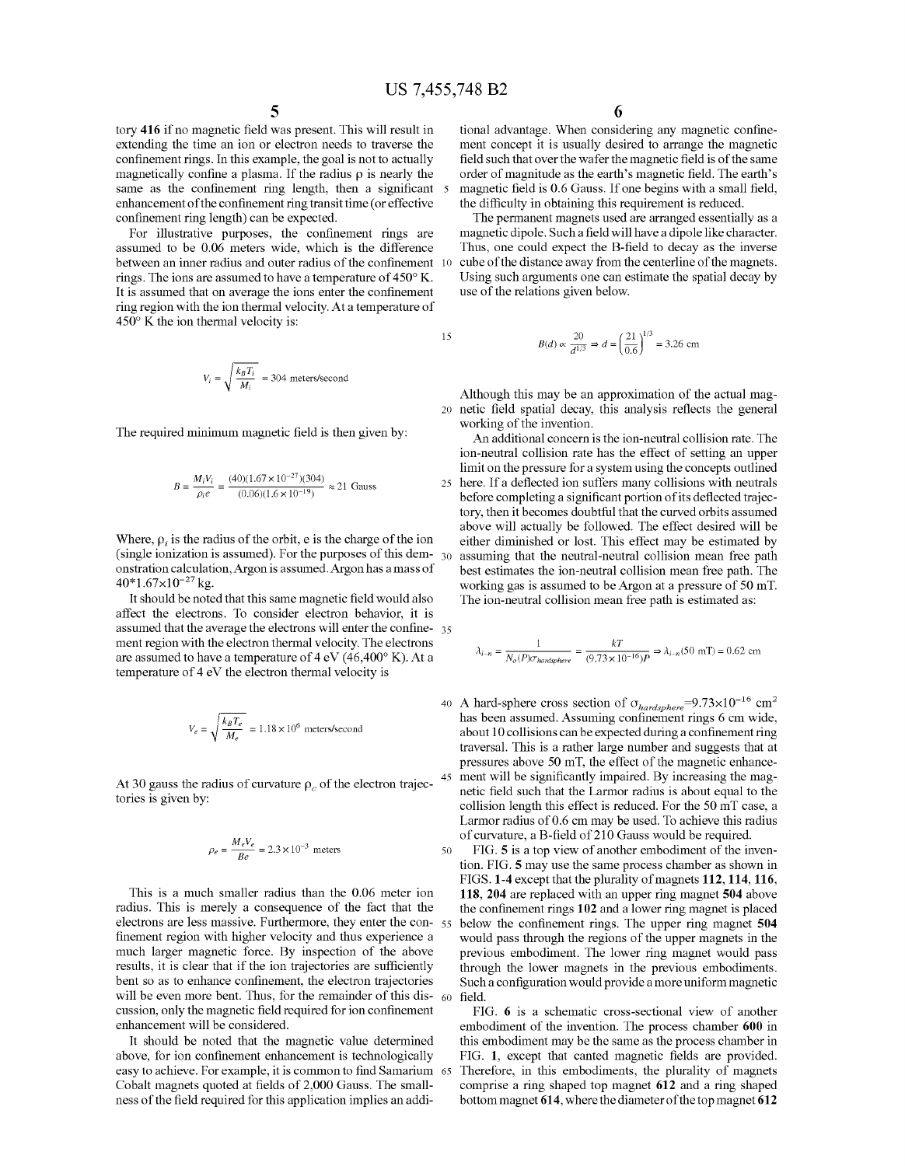tory 416 if no magnetic field was present. This will result in extending the time an ion or electron needs to traverse the confinement rings. In this example, the goal is not to actually magnetically confine a plasma. If the radius  $\rho$  is nearly the same as the confinement ring length, then a significant 5 enhancement of the confinement ring transit time (or effective confinement ring length) can be expected.

For illustrative purposes, the confinement rings are assumed to be 0.06 meters Wide, Which is the difference between an inner radius and outer radius of the confinement 10 rings. The ions are assumed to have a temperature of  $450^{\circ}$  K. It is assumed that on average the ions enter the confinement ring region With the ion thermal velocity. At a temperature of  $450^{\circ}$  K the ion thermal velocity is:

$$
V_i = \sqrt{\frac{k_B T_i}{M_i}} = 304
$$
 meters/second

The required minimum magnetic field is then given by:

$$
B = \frac{M_i V_i}{\rho_i e} = \frac{(40)(1.67 \times 10^{-27})(304)}{(0.06)(1.6 \times 10^{-19})} \approx 21 \text{ Gauss}
$$

Where,  $\rho_i$  is the radius of the orbit, e is the charge of the ion (single ionization is assumed). For the purposes of this dem- $_{30}$ onstration calculation, Argon is assumed. Argon has a mass of  $40*1.67\times10^{-27}$  kg.

It should be noted that this same magnetic field would also affect the electrons. To consider electron behavior, it is assumed that the average the electrons will enter the confine-  $35$ ment region With the electron thermal velocity. The electrons are assumed to have a temperature of  $4 \text{ eV}$  (46,400 $^{\circ}$  K). At a temperature of 4 eV the electron thermal velocity is

$$
V_e = \sqrt{\frac{k_B T_e}{M_e}} = 1.18 \times 10^6
$$
 meters/second

At 30 gauss the radius of curvature  $\rho_c$  of the electron trajectories is given by:

$$
\rho_e = \frac{M_e V_e}{Be} = 2.3 \times 10^{-3}
$$
 meters

50

This is a much smaller radius than the 0.06 meter ion radius. This is merely a consequence of the fact that the electrons are less massive. Furthermore, they enter the con-  $55$ finement region with higher velocity and thus experience a much larger magnetic force. By inspection of the above results, it is clear that if the ion trajectories are sufficiently bent so as to enhance confinement, the electron trajectories will be even more bent. Thus, for the remainder of this discussion, only the magnetic field required for ion confinement enhancement Will be considered. 60

It should be noted that the magnetic value determined above, for ion confinement enhancement is technologically easy to achieve. For example, it is common to find Samarium 65 Cobalt magnets quoted at fields of 2,000 Gauss. The smallness of the field required for this application implies an addi-

tional advantage. When considering any magnetic confinement concept it is usually desired to arrange the magnetic field such that over the wafer the magnetic field is of the same order of magnitude as the earth's magnetic field. The earth's magnetic field is 0.6 Gauss. If one begins with a small field, the difficulty in obtaining this requirement is reduced.

The permanent magnets used are arranged essentially as a magnetic dipole. Such a field will have a dipole like character. Thus, one could expect the B-field to decay as the inverse cube of the distance aWay from the centerline of the magnets. Using such arguments one can estimate the spatial decay by use of the relations given beloW.

$$
B(d) \propto \frac{20}{d^{1/3}} \Rightarrow d = \left(\frac{21}{0.6}\right)^{1/3} = 3.26
$$
 cm

20 netic field spatial decay, this analysis reflects the general Although this may be an approximation of the actual mag Working of the invention.

25 here. If a deflected ion suffers many collisions with neutrals An additional concern is the ion-neutral collision rate. The ion-neutral collision rate has the effect of setting an upper limit on the pressure for a system using the concepts outlined before completing a significant portion of its deflected trajectory, then it becomes doubtful that the curved orbits assumed above will actually be followed. The effect desired will be either diminished or lost. This effect may be estimated by assuming that the neutral-neutral collision mean free path best estimates the ion-neutral collision mean free path. The best estimates the fon-heutral contribution mean free path. The working gas is assumed to be Argon at a pressure of 50 mT.<br>The ion-neutral collision mean free path is estimated as:<br> $\lambda_{i-n} = \frac{1}{N_o(P)\sigma_{hardsphere}} = \frac{kT}{(9.73 \times 10^{-1$ The ion-neutral collision mean free path is estimated as:

$$
\lambda_{i-n}=\frac{1}{N_o(P)\sigma_{hardsphere}}=\frac{kT}{(9.73\times 10^{-16})P}\Rightarrow \lambda_{i-n}(50\ {\rm mT})=0.62\ {\rm cm}
$$

40 A hard-sphere cross section of  $\sigma_{hardsphere}$ =9.73×10<sup>-16</sup> cm<sup>2</sup> 45 has been assumed. Assuming confinement rings 6 cm wide, about 10 collisions can be expected during a confinement ring traversal. This is a rather large number and suggests that at pressures above 50 mT, the effect of the magnetic enhance ment will be significantly impaired. By increasing the magnetic field such that the Larmor radius is about equal to the collision length this effect is reduced. For the 50 mT case, a Larmor radius of 0.6 cm may be used. To achieve this radius of curvature, a B-field of 210 Gauss would be required.

FIG. 5 is a top view of another embodiment of the invention. FIG. 5 may use the same process chamber as shoWn in FIGS. 1-4 except that the plurality of magnets 112, 114, 116, 118, 204 are replaced With an upper ring magnet 504 above the confinement rings 102 and a lower ring magnet is placed below the confinement rings. The upper ring magnet 504 Would pass through the regions of the upper magnets in the previous embodiment. The loWer ring magnet Would pass through the loWer magnets in the previous embodiments. Such a configuration would provide a more uniform magnetic field.

FIG. 6 is a schematic cross-sectional view of another embodiment of the invention. The process chamber 600 in this embodiment may be the same as the process chamber in FIG. 1, except that canted magnetic fields are provided. Therefore, in this embodiments, the plurality of magnets comprise a ring shaped top magnet 612 and a ring shaped bottom magnet 614, Where the diameter of the top magnet 612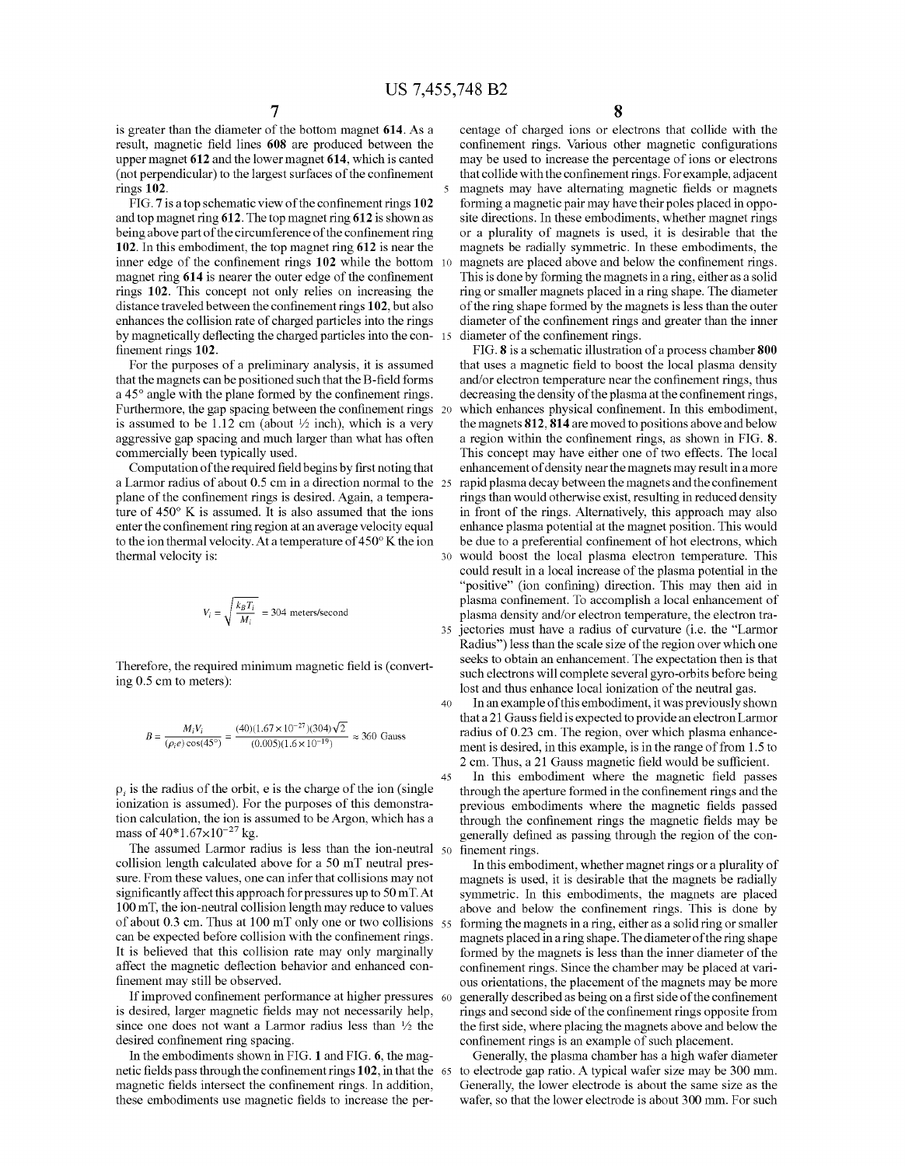40

45

is greater than the diameter of the bottom magnet 614. As a result, magnetic field lines 608 are produced between the upper magnet 612 and the loWer magnet 614, Which is canted (not perpendicular) to the largest surfaces of the confinement rings 102.

FIG.  $7$  is a top schematic view of the confinement rings  $102$ and top magnet ring 612. The top magnet ring 612 is shoWn as being above part of the circumference of the confinement ring 102. In this embodiment, the top magnet ring 612 is near the inner edge of the confinement rings  $102$  while the bottom 10 magnet ring  $614$  is nearer the outer edge of the confinement rings 102. This concept not only relies on increasing the distance traveled between the confinement rings 102, but also enhances the collision rate of charged particles into the rings by magnetically deflecting the charged particles into the con-15 finement rings 102.

For the purposes of a preliminary analysis, it is assumed that the magnets can be positioned such that the B-field forms a  $45^\circ$  angle with the plane formed by the confinement rings. Furthermore, the gap spacing between the confinement rings 20 is assumed to be 1.12 cm (about  $\frac{1}{2}$  inch), which is a very aggressive gap spacing and much larger than What has often commercially been typically used.

Computation of the required field begins by first noting that a Larmor radius of about 0.5 cm in a direction normal to the 25 plane of the confinement rings is desired. Again, a temperature of  $450^{\circ}$  K is assumed. It is also assumed that the ions enter the confinement ring region at an average velocity equal to the ion thermal velocity. At a temperature of  $450^{\circ}$  K the ion thermal velocity is: 30

$$
V_i = \sqrt{\frac{k_B T_i}{M_i}} = 304
$$
 meters/second

Therefore, the required minimum magnetic field is (converting 0.5 cm to meters):

$$
B = \frac{M_i V_i}{(\rho_i e) \cos(45^\circ)} = \frac{(40)(1.67 \times 10^{-27})(304)\sqrt{2}}{(0.005)(1.6 \times 10^{-19})} \approx 360 \text{ Gauss}
$$

 $\rho_i$  is the radius of the orbit, e is the charge of the ion (single ionization is assumed). For the purposes of this demonstration calculation, the ion is assumed to be Argon, Which has a mass of  $40*1.67\times10^{-27}$  kg.

The assumed Larmor radius is less than the ion-neutral  $50$  finement rings. collision length calculated above for a 50 mT neutral pres sure. From these values, one can infer that collisions may not significantly affect this approach for pressures up to 50 mT. At 100 mT, the ion-neutral collision length may reduce to values of about 0.3 cm. Thus at 100 mT only one or tWo collisions 55 can be expected before collision with the confinement rings. It is believed that this collision rate may only marginally affect the magnetic deflection behavior and enhanced confinement may still be observed.

If improved confinement performance at higher pressures 60 is desired, larger magnetic fields may not necessarily help, since one does not want a Larmor radius less than  $\frac{1}{2}$  the desired confinement ring spacing.

In the embodiments shown in FIG. 1 and FIG. 6, the magnetic fields pass through the confinement rings  $102,$  in that the  $-65$ magnetic fields intersect the confinement rings. In addition, these embodiments use magnetic fields to increase the per8

centage of charged ions or electrons that collide With the confinement rings. Various other magnetic configurations may be used to increase the percentage of ions or electrons that collide with the confinement rings. For example, adjacent magnets may have alternating magnetic fields or magnets forming a magnetic pair may have their poles placed in oppo site directions. In these embodiments, Whether magnet rings or a plurality of magnets is used, it is desirable that the magnets be radially symmetric. In these embodiments, the magnets are placed above and below the confinement rings. This is done by forming the magnets in a ring, either as a solid ring or smaller magnets placed in a ring shape. The diameter of the ring shape formed by the magnets is less than the outer diameter of the confinement rings and greater than the inner diameter of the confinement rings.

FIG. 8 is a schematic illustration of a process chamber 800 that uses a magnetic field to boost the local plasma density and/or electron temperature near the confinement rings, thus decreasing the density of the plasma at the confinement rings, which enhances physical confinement. In this embodiment, the magnets 812, 814 are moved to positions above and below a region within the confinement rings, as shown in FIG.  $8$ . This concept may have either one of two effects. The local enhancement of density near the magnets may result in a more rapid plasma decay between the magnets and the confinement rings than would otherwise exist, resulting in reduced density in front of the rings. Alternatively, this approach may also enhance plasma potential at the magnet position. This Would be due to a preferential confinement of hot electrons, which Would boost the local plasma electron temperature. This could result in a local increase of the plasma potential in the "positive" (ion confining) direction. This may then aid in plasma confinement. To accomplish a local enhancement of plasma density and/or electron temperature, the electron tra jectories must have a radius of curvature (i.e. the "Larmor Radius") less than the scale size of the region over which one seeks to obtain an enhancement. The expectation then is that such electrons Will complete several gyro-orbits before being lost and thus enhance local ionization of the neutral gas.

In an example of this embodiment, it Was previously shoWn that a 21 Gauss field is expected to provide an electron Larmor radius of 0.23 cm. The region, over Which plasma enhance ment is desired, in this example, is in the range of from 1.5 to 2 cm. Thus, a 21 Gauss magnetic field would be sufficient.

In this embodiment where the magnetic field passes through the aperture formed in the confinement rings and the previous embodiments where the magnetic fields passed through the confinement rings the magnetic fields may be generally defined as passing through the region of the con-

In this embodiment, Whether magnet rings or a plurality of magnets is used, it is desirable that the magnets be radially symmetric. In this embodiments, the magnets are placed above and below the confinement rings. This is done by forming the magnets in a ring, either as a solid ring or smaller magnets placed in a ring shape. The diameter of the ring shape formed by the magnets is less than the inner diameter of the confinement rings. Since the chamber may be placed at various orientations, the placement of the magnets may be more generally described as being on a first side of the confinement rings and second side of the confinement rings opposite from the first side, where placing the magnets above and below the confinement rings is an example of such placement.

Generally, the plasma chamber has a high Wafer diameter to electrode gap ratio. A typical wafer size may be 300 mm. Generally, the lower electrode is about the same size as the wafer, so that the lower electrode is about 300 mm. For such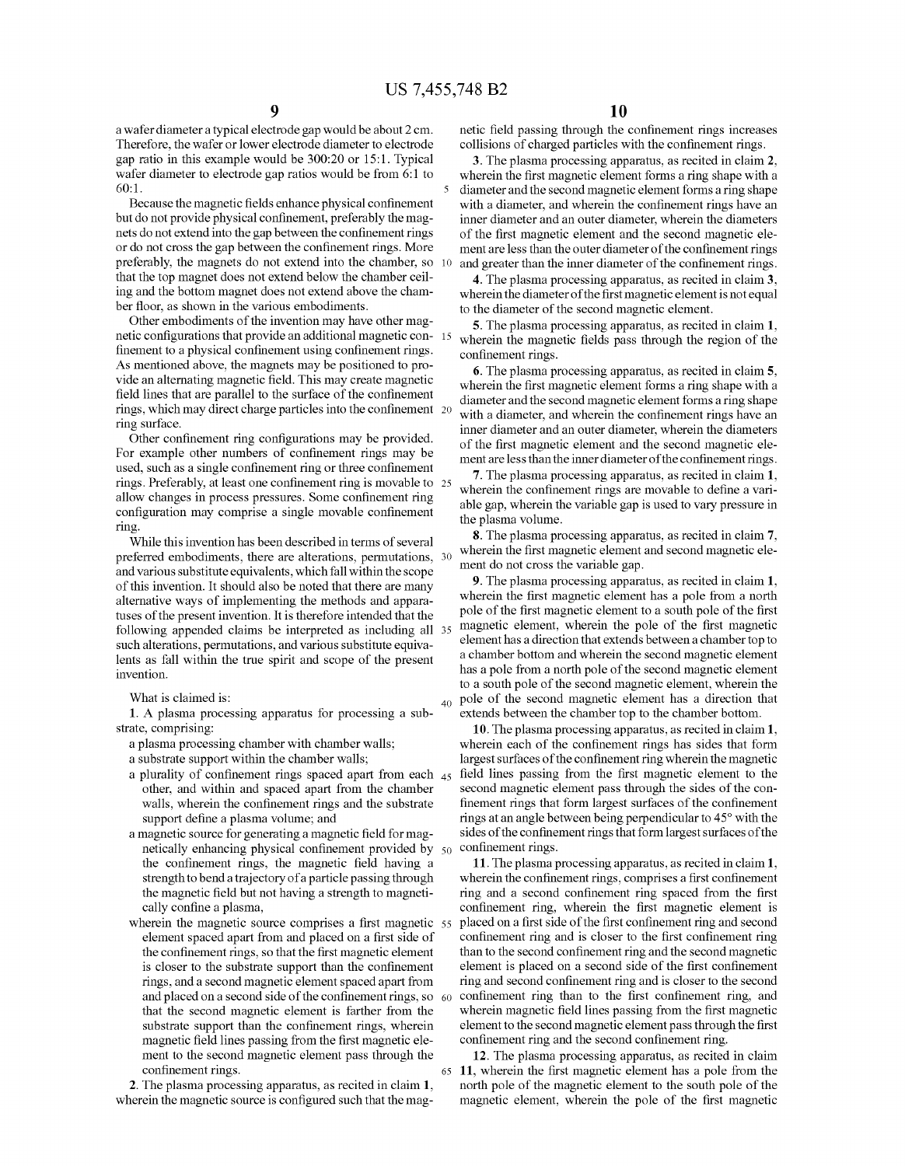a Wafer diameter a typical electrode gap Would be about 2 cm. Therefore, the Wafer or loWer electrode diameter to electrode gap ratio in this example Would be 300:20 or 15:1. Typical wafer diameter to electrode gap ratios would be from 6:1 to  $60:1$ .

Because the magnetic fields enhance physical confinement but do not provide physical confinement, preferably the magnets do not extend into the gap between the confinement rings or do not cross the gap between the confinement rings. More preferably, the magnets do not extend into the chamber, so that the top magnet does not extend beloW the chamber ceil ing and the bottom magnet does not extend above the cham ber floor, as shown in the various embodiments.

Other embodiments of the invention may have other mag netic configurations that provide an additional magnetic con-15 finement to a physical confinement using confinement rings. As mentioned above, the magnets may be positioned to pro vide an alternating magnetic field. This may create magnetic field lines that are parallel to the surface of the confinement rings, which may direct charge particles into the confinement 20 ring surface.

Other confinement ring configurations may be provided. For example other numbers of confinement rings may be used, such as a single confinement ring or three confinement rings. Preferably, at least one confinement ring is movable to 25 allow changes in process pressures. Some confinement ring configuration may comprise a single movable confinement ring.

While this invention has been described in terms of several preferred embodiments, there are alterations, permutations, 30 and various substitute equivalents, Which fall Within the scope of this invention. It should also be noted that there are many alternative Ways of implementing the methods and appara tuses of the present invention. It is therefore intended that the folloWing appended claims be interpreted as including all 35 such alterations, permutations, and various substitute equiva lents as fall Within the true spirit and scope of the present invention.

What is claimed is:

1. A plasma processing apparatus for processing a sub

a plasma processing chamber with chamber walls;

a substrate support Within the chamber Walls;

- a plurality of confinement rings spaced apart from each  $_{45}$ other, and Within and spaced apart from the chamber walls, wherein the confinement rings and the substrate support define a plasma volume; and
- a magnetic source for generating a magnetic field for magnetically enhancing physical confinement provided by  $50<sub>10</sub>$ the confinement rings, the magnetic field having a strength to bend a trajectory of a particle passing through the magnetic field but not having a strength to magnetically confine a plasma,
- wherein the magnetic source comprises a first magnetic 55 element spaced apart from and placed on a first side of the confinement rings, so that the first magnetic element is closer to the substrate support than the confinement rings, and a second magnetic element spaced apart from and placed on a second side of the confinement rings, so  $\,$  60  $\,$ that the second magnetic element is farther from the substrate support than the confinement rings, wherein magnetic field lines passing from the first magnetic element to the second magnetic element pass through the confinement rings. 65

2. The plasma processing apparatus, as recited in claim 1, wherein the magnetic source is configured such that the magnetic field passing through the confinement rings increases collisions of charged particles with the confinement rings.

3. The plasma processing apparatus, as recited in claim 2, wherein the first magnetic element forms a ring shape with a diameter and the second magnetic element forms a ring shape with a diameter, and wherein the confinement rings have an inner diameter and an outer diameter, Wherein the diameters of the first magnetic element and the second magnetic element are less than the outer diameter of the confinement rings and greater than the inner diameter of the confinement rings.

4. The plasma processing apparatus, as recited in claim 3, wherein the diameter of the first magnetic element is not equal to the diameter of the second magnetic element.

5. The plasma processing apparatus, as recited in claim 1, wherein the magnetic fields pass through the region of the confinement rings.

6. The plasma processing apparatus, as recited in claim 5, wherein the first magnetic element forms a ring shape with a diameter and the second magnetic element forms a ring shape with a diameter, and wherein the confinement rings have an inner diameter and an outer diameter, Wherein the diameters of the first magnetic element and the second magnetic element are less than the inner diameter of the confinement rings.

7. The plasma processing apparatus, as recited in claim 1, wherein the confinement rings are movable to define a variable gap, Wherein the variable gap is used to vary pressure in the plasma volume.

8. The plasma processing apparatus, as recited in claim 7, wherein the first magnetic element and second magnetic element do not cross the variable gap.

9. The plasma processing apparatus, as recited in claim 1, wherein the first magnetic element has a pole from a north pole of the first magnetic element to a south pole of the first magnetic element, wherein the pole of the first magnetic element has a direction that extends between a chamber top to a chamber bottom and Wherein the second magnetic element has a pole from a north pole of the second magnetic element to a south pole of the second magnetic element, Wherein the pole of the second magnetic element has a direction that extends between the chamber top to the chamber bottom.

10. The plasma processing apparatus, as recited in claim 1, wherein each of the confinement rings has sides that form largest surfaces of the confinement ring wherein the magnetic field lines passing from the first magnetic element to the second magnetic element pass through the sides of the con finement rings that form largest surfaces of the confinement rings at an angle between being perpendicular to 45° with the sides of the confinement rings that form largest surfaces of the confinement rings.

11. The plasma processing apparatus, as recited in claim 1, wherein the confinement rings, comprises a first confinement ring and a second confinement ring spaced from the first confinement ring, wherein the first magnetic element is placed on a first side of the first confinement ring and second confinement ring and is closer to the first confinement ring than to the second confinement ring and the second magnetic element is placed on a second side of the first confinement ring and second confinement ring and is closer to the second confinement ring than to the first confinement ring, and wherein magnetic field lines passing from the first magnetic element to the second magnetic element pass through the first confinement ring and the second confinement ring.

12. The plasma processing apparatus, as recited in claim 11, wherein the first magnetic element has a pole from the north pole of the magnetic element to the south pole of the magnetic element, wherein the pole of the first magnetic